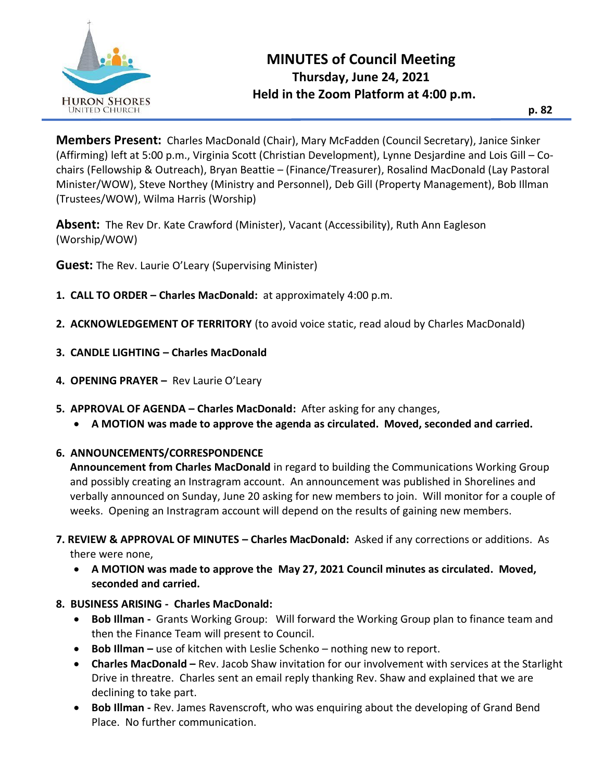

**Members Present:** Charles MacDonald (Chair), Mary McFadden (Council Secretary), Janice Sinker (Affirming) left at 5:00 p.m., Virginia Scott (Christian Development), Lynne Desjardine and Lois Gill – Cochairs (Fellowship & Outreach), Bryan Beattie – (Finance/Treasurer), Rosalind MacDonald (Lay Pastoral Minister/WOW), Steve Northey (Ministry and Personnel), Deb Gill (Property Management), Bob Illman (Trustees/WOW), Wilma Harris (Worship)

**Absent:** The Rev Dr. Kate Crawford (Minister), Vacant (Accessibility), Ruth Ann Eagleson (Worship/WOW)

**Guest:** The Rev. Laurie O'Leary (Supervising Minister)

- **1. CALL TO ORDER – Charles MacDonald:** at approximately 4:00 p.m.
- **2. ACKNOWLEDGEMENT OF TERRITORY** (to avoid voice static, read aloud by Charles MacDonald)
- **3. CANDLE LIGHTING – Charles MacDonald**
- **4. OPENING PRAYER –** Rev Laurie O'Leary
- **5. APPROVAL OF AGENDA – Charles MacDonald:** After asking for any changes,
	- **A MOTION was made to approve the agenda as circulated. Moved, seconded and carried.**

## **6. ANNOUNCEMENTS/CORRESPONDENCE**

**Announcement from Charles MacDonald** in regard to building the Communications Working Group and possibly creating an Instragram account. An announcement was published in Shorelines and verbally announced on Sunday, June 20 asking for new members to join. Will monitor for a couple of weeks. Opening an Instragram account will depend on the results of gaining new members.

- **7. REVIEW & APPROVAL OF MINUTES – Charles MacDonald:** Asked if any corrections or additions. As there were none,
	- **A MOTION was made to approve the May 27, 2021 Council minutes as circulated. Moved, seconded and carried.**
- **8. BUSINESS ARISING Charles MacDonald:**
	- **Bob Illman -** Grants Working Group: Will forward the Working Group plan to finance team and then the Finance Team will present to Council.
	- **Bob Illman –** use of kitchen with Leslie Schenko nothing new to report.
	- **Charles MacDonald –** Rev. Jacob Shaw invitation for our involvement with services at the Starlight Drive in threatre. Charles sent an email reply thanking Rev. Shaw and explained that we are declining to take part.
	- **Bob Illman -** Rev. James Ravenscroft, who was enquiring about the developing of Grand Bend Place. No further communication.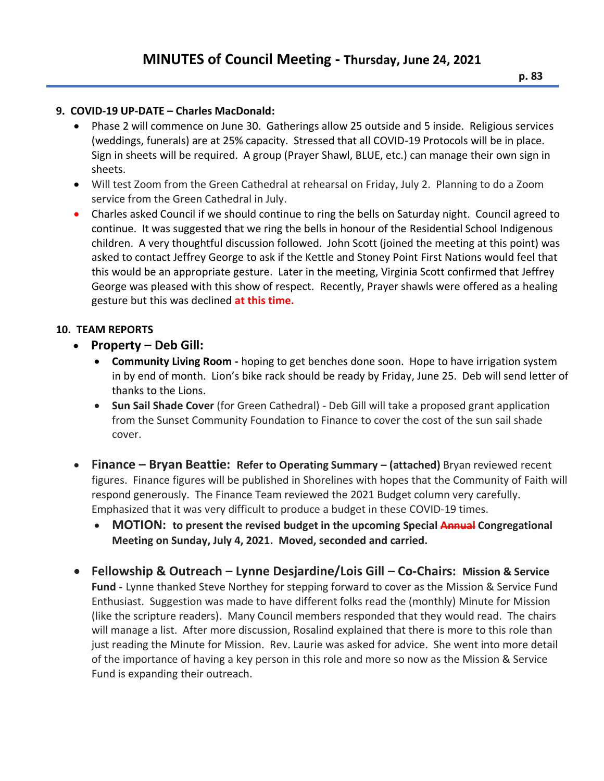## **9. COVID-19 UP-DATE – Charles MacDonald:**

- Phase 2 will commence on June 30. Gatherings allow 25 outside and 5 inside. Religious services (weddings, funerals) are at 25% capacity. Stressed that all COVID-19 Protocols will be in place. Sign in sheets will be required. A group (Prayer Shawl, BLUE, etc.) can manage their own sign in sheets.
- Will test Zoom from the Green Cathedral at rehearsal on Friday, July 2. Planning to do a Zoom service from the Green Cathedral in July.
- Charles asked Council if we should continue to ring the bells on Saturday night. Council agreed to continue. It was suggested that we ring the bells in honour of the Residential School Indigenous children. A very thoughtful discussion followed. John Scott (joined the meeting at this point) was asked to contact Jeffrey George to ask if the Kettle and Stoney Point First Nations would feel that this would be an appropriate gesture. Later in the meeting, Virginia Scott confirmed that Jeffrey George was pleased with this show of respect. Recently, Prayer shawls were offered as a healing gesture but this was declined **at this time.**

## **10. TEAM REPORTS**

- **Property – Deb Gill:** 
	- **Community Living Room -** hoping to get benches done soon. Hope to have irrigation system in by end of month. Lion's bike rack should be ready by Friday, June 25. Deb will send letter of thanks to the Lions.
	- **Sun Sail Shade Cover** (for Green Cathedral) Deb Gill will take a proposed grant application from the Sunset Community Foundation to Finance to cover the cost of the sun sail shade cover.
- **Finance – Bryan Beattie: Refer to Operating Summary – (attached)** Bryan reviewed recent figures. Finance figures will be published in Shorelines with hopes that the Community of Faith will respond generously. The Finance Team reviewed the 2021 Budget column very carefully. Emphasized that it was very difficult to produce a budget in these COVID-19 times.
	- **MOTION: to present the revised budget in the upcoming Special Annual Congregational Meeting on Sunday, July 4, 2021. Moved, seconded and carried.**
- **Fellowship & Outreach – Lynne Desjardine/Lois Gill – Co-Chairs: Mission & Service Fund -** Lynne thanked Steve Northey for stepping forward to cover as the Mission & Service Fund Enthusiast. Suggestion was made to have different folks read the (monthly) Minute for Mission (like the scripture readers). Many Council members responded that they would read. The chairs will manage a list. After more discussion, Rosalind explained that there is more to this role than just reading the Minute for Mission. Rev. Laurie was asked for advice. She went into more detail of the importance of having a key person in this role and more so now as the Mission & Service Fund is expanding their outreach.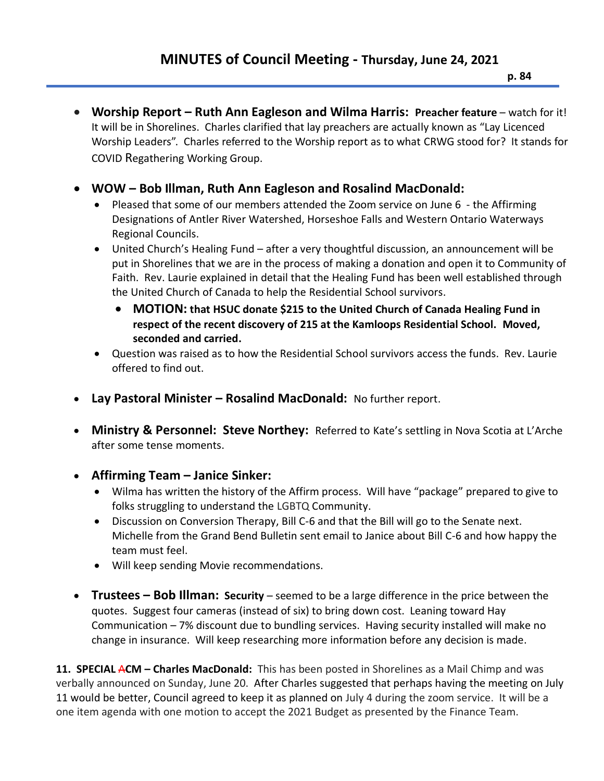- **Worship Report – Ruth Ann Eagleson and Wilma Harris: Preacher feature** watch for it! It will be in Shorelines. Charles clarified that lay preachers are actually known as "Lay Licenced Worship Leaders". Charles referred to the Worship report as to what CRWG stood for? It stands for COVID Regathering Working Group.
- **WOW – Bob Illman, Ruth Ann Eagleson and Rosalind MacDonald:**
	- Pleased that some of our members attended the Zoom service on June 6 the Affirming Designations of Antler River Watershed, Horseshoe Falls and Western Ontario Waterways Regional Councils.
	- United Church's Healing Fund after a very thoughtful discussion, an announcement will be put in Shorelines that we are in the process of making a donation and open it to Community of Faith. Rev. Laurie explained in detail that the Healing Fund has been well established through the United Church of Canada to help the Residential School survivors.
		- **MOTION: that HSUC donate \$215 to the United Church of Canada Healing Fund in respect of the recent discovery of 215 at the Kamloops Residential School. Moved, seconded and carried.**
	- Question was raised as to how the Residential School survivors access the funds. Rev. Laurie offered to find out.
- **Lay Pastoral Minister – Rosalind MacDonald:** No further report.
- **Ministry & Personnel: Steve Northey:** Referred to Kate's settling in Nova Scotia at L'Arche after some tense moments.
- **Affirming Team – Janice Sinker:** 
	- Wilma has written the history of the Affirm process. Will have "package" prepared to give to folks struggling to understand the LGBTQ Community.
	- Discussion on Conversion Therapy, Bill C-6 and that the Bill will go to the Senate next. Michelle from the Grand Bend Bulletin sent email to Janice about Bill C-6 and how happy the team must feel.
	- Will keep sending Movie recommendations.
- **Trustees – Bob Illman: Security**  seemed to be a large difference in the price between the quotes. Suggest four cameras (instead of six) to bring down cost. Leaning toward Hay Communication – 7% discount due to bundling services. Having security installed will make no change in insurance. Will keep researching more information before any decision is made.

**11. SPECIAL** A**CM – Charles MacDonald:** This has been posted in Shorelines as a Mail Chimp and was verbally announced on Sunday, June 20. After Charles suggested that perhaps having the meeting on July 11 would be better, Council agreed to keep it as planned on July 4 during the zoom service. It will be a one item agenda with one motion to accept the 2021 Budget as presented by the Finance Team.